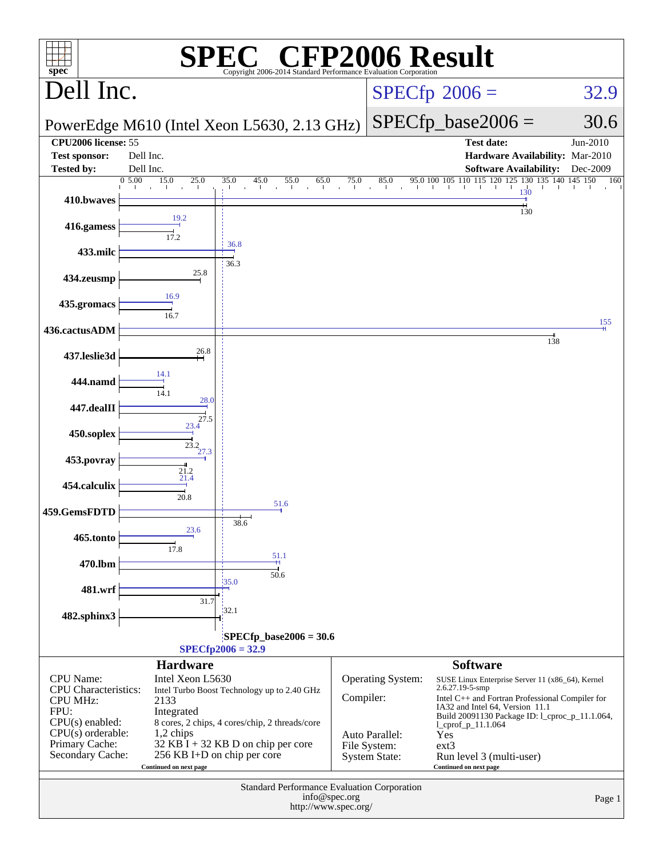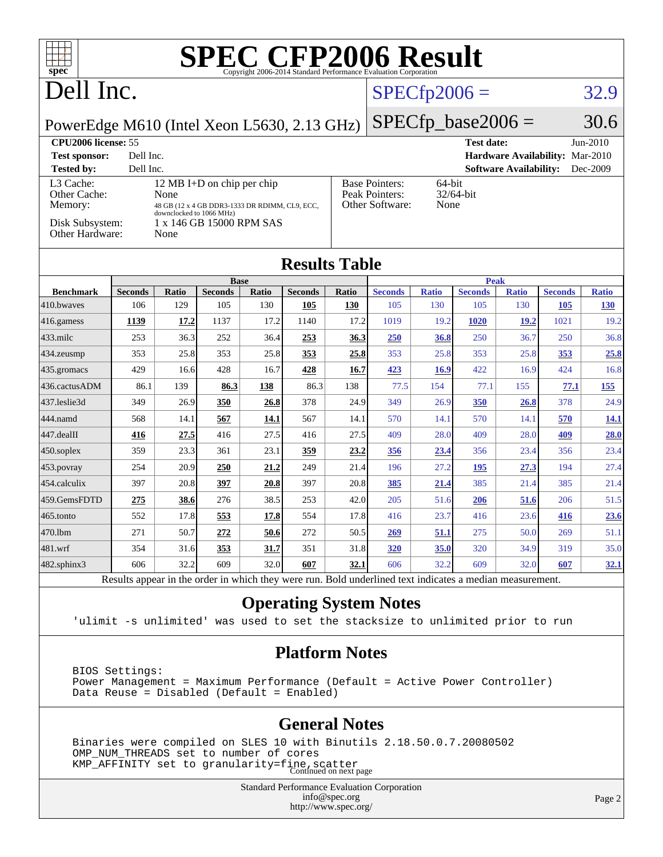| $spec^*$                                                                                                                  |                                                                                                          |              |                            |       | <b>SPEC CFP2006 Result</b><br>Copyright 2006-2014 Standard Performance Evaluation Corporation |                                                        |                                 |              |                   |                               |                |              |
|---------------------------------------------------------------------------------------------------------------------------|----------------------------------------------------------------------------------------------------------|--------------|----------------------------|-------|-----------------------------------------------------------------------------------------------|--------------------------------------------------------|---------------------------------|--------------|-------------------|-------------------------------|----------------|--------------|
| Dell Inc.                                                                                                                 |                                                                                                          |              |                            |       |                                                                                               | $SPECfp2006 =$                                         |                                 |              | 32.9              |                               |                |              |
| $SPECfp\_base2006 =$<br>PowerEdge M610 (Intel Xeon L5630, 2.13 GHz)                                                       |                                                                                                          |              |                            |       |                                                                                               |                                                        | 30.6                            |              |                   |                               |                |              |
| <b>CPU2006</b> license: 55                                                                                                |                                                                                                          |              |                            |       |                                                                                               |                                                        |                                 |              | <b>Test date:</b> |                               |                | Jun-2010     |
| Dell Inc.<br>Hardware Availability: Mar-2010<br><b>Test sponsor:</b>                                                      |                                                                                                          |              |                            |       |                                                                                               |                                                        |                                 |              |                   |                               |                |              |
| <b>Tested by:</b>                                                                                                         | Dell Inc.                                                                                                |              |                            |       |                                                                                               |                                                        |                                 |              |                   | <b>Software Availability:</b> |                | Dec-2009     |
| L3 Cache:                                                                                                                 |                                                                                                          |              | 12 MB I+D on chip per chip |       |                                                                                               |                                                        | <b>Base Pointers:</b><br>64-bit |              |                   |                               |                |              |
| Other Cache:<br>Memory:                                                                                                   |                                                                                                          | None         |                            |       |                                                                                               | 32/64-bit<br>Peak Pointers:<br>Other Software:<br>None |                                 |              |                   |                               |                |              |
| 48 GB (12 x 4 GB DDR3-1333 DR RDIMM, CL9, ECC,<br>downclocked to 1066 MHz)<br>Disk Subsystem:<br>1 x 146 GB 15000 RPM SAS |                                                                                                          |              |                            |       |                                                                                               |                                                        |                                 |              |                   |                               |                |              |
| <b>Other Hardware:</b>                                                                                                    |                                                                                                          | None         |                            |       |                                                                                               |                                                        |                                 |              |                   |                               |                |              |
| <b>Results Table</b>                                                                                                      |                                                                                                          |              |                            |       |                                                                                               |                                                        |                                 |              |                   |                               |                |              |
|                                                                                                                           |                                                                                                          |              | <b>Base</b>                |       |                                                                                               |                                                        |                                 |              | <b>Peak</b>       |                               |                |              |
| <b>Benchmark</b>                                                                                                          | <b>Seconds</b>                                                                                           | <b>Ratio</b> | <b>Seconds</b>             | Ratio | <b>Seconds</b>                                                                                | Ratio                                                  | <b>Seconds</b>                  | <b>Ratio</b> | <b>Seconds</b>    | <b>Ratio</b>                  | <b>Seconds</b> | <b>Ratio</b> |
| 410.bwayes                                                                                                                | 106                                                                                                      | 129          | 105                        | 130   | 105                                                                                           | 130                                                    | 105                             | 130          | 105               | 130                           | 105            | <b>130</b>   |
| 416.gamess                                                                                                                | 1139                                                                                                     | 17.2         | 1137                       | 17.2  | 1140                                                                                          | 17.2                                                   | 1019                            | 19.2         | <b>1020</b>       | 19.2                          | 1021           | 19.2         |
| 433.milc                                                                                                                  | 253                                                                                                      | 36.3         | 252                        | 36.4  | 253                                                                                           | 36.3                                                   | <b>250</b>                      | 36.8         | 250               | 36.7                          | 250            | 36.8         |
| 434.zeusmp                                                                                                                | 353                                                                                                      | 25.8         | 353                        | 25.8  | 353                                                                                           | 25.8                                                   | 353                             | 25.8         | 353               | 25.8                          | 353            | 25.8         |
| 435.gromacs                                                                                                               | 429                                                                                                      | 16.6         | 428                        | 16.7  | 428                                                                                           | 16.7                                                   | 423                             | 16.9         | 422               | 16.9                          | 424            | 16.8         |
| 436.cactusADM                                                                                                             | 86.1                                                                                                     | 139          | 86.3                       | 138   | 86.3                                                                                          | 138                                                    | 77.5                            | 154          | 77.1              | 155                           | 77.1           | 155          |
| 437.leslie3d                                                                                                              | 349                                                                                                      | 26.9         | 350                        | 26.8  | 378                                                                                           | 24.9                                                   | 349                             | 26.9         | 350               | 26.8                          | 378            | 24.9         |
| 444.namd                                                                                                                  | 568                                                                                                      | 14.1         | 567                        | 14.1  | 567                                                                                           | 14.1                                                   | 570                             | 14.1         | 570               | 14.1                          | 570            | 14.1         |
| 447.dealII                                                                                                                | 416                                                                                                      | 27.5         | 416                        | 27.5  | 416                                                                                           | 27.5                                                   | 409                             | 28.0         | 409               | 28.0                          | 409            | 28.0         |
| $450$ .soplex                                                                                                             | 359                                                                                                      | 23.3         | 361                        | 23.1  | 359                                                                                           | 23.2                                                   | 356                             | 23.4         | 356               | 23.4                          | 356            | 23.4         |
| 453.povray                                                                                                                | 254                                                                                                      | 20.9         | 250                        | 21.2  | 249                                                                                           | 21.4                                                   | 196                             | 27.2         | <u>195</u>        | 27.3                          | 194            | 27.4         |
| 454.calculix                                                                                                              | 397                                                                                                      | 20.8         | 397                        | 20.8  | 397                                                                                           | 20.8                                                   | 385                             | 21.4         | 385               | 21.4                          | 385            | 21.4         |
| 459.GemsFDTD                                                                                                              | 275                                                                                                      | 38.6         | 276                        | 38.5  | 253                                                                                           | 42.0                                                   | 205                             | 51.6         | 206               | 51.6                          | 206            | 51.5         |
| 465.tonto                                                                                                                 | 552                                                                                                      | 17.8         | 553                        | 17.8  | 554                                                                                           | 17.8                                                   | 416                             | 23.7         | 416               | 23.6                          | 416            | 23.6         |
| 470.1bm                                                                                                                   | 271                                                                                                      | 50.7         | 272                        | 50.6  | 272                                                                                           | 50.5                                                   | 269                             | 51.1         | 275               | 50.0                          | 269            | 51.1         |
| 481.wrf                                                                                                                   | 354                                                                                                      | 31.6         | 353                        | 31.7  | 351                                                                                           | 31.8                                                   | 320                             | 35.0         | 320               | 34.9                          | 319            | 35.0         |
| 482.sphinx3                                                                                                               | 606                                                                                                      | 32.2         | 609                        | 32.0  | 607                                                                                           | 32.1                                                   | 606                             | 32.2         | 609               | 32.0                          | 607            | <u>32.1</u>  |
|                                                                                                                           | Results appear in the order in which they were run. Bold underlined text indicates a median measurement. |              |                            |       |                                                                                               |                                                        |                                 |              |                   |                               |                |              |

### **[Operating System Notes](http://www.spec.org/auto/cpu2006/Docs/result-fields.html#OperatingSystemNotes)**

'ulimit -s unlimited' was used to set the stacksize to unlimited prior to run

### **[Platform Notes](http://www.spec.org/auto/cpu2006/Docs/result-fields.html#PlatformNotes)**

 BIOS Settings: Power Management = Maximum Performance (Default = Active Power Controller) Data Reuse = Disabled (Default = Enabled)

### **[General Notes](http://www.spec.org/auto/cpu2006/Docs/result-fields.html#GeneralNotes)**

 Binaries were compiled on SLES 10 with Binutils 2.18.50.0.7.20080502 OMP\_NUM\_THREADS set to number of cores KMP\_AFFINITY set to granularity=fine, scatter<br>Continued on next page

> Standard Performance Evaluation Corporation [info@spec.org](mailto:info@spec.org) <http://www.spec.org/>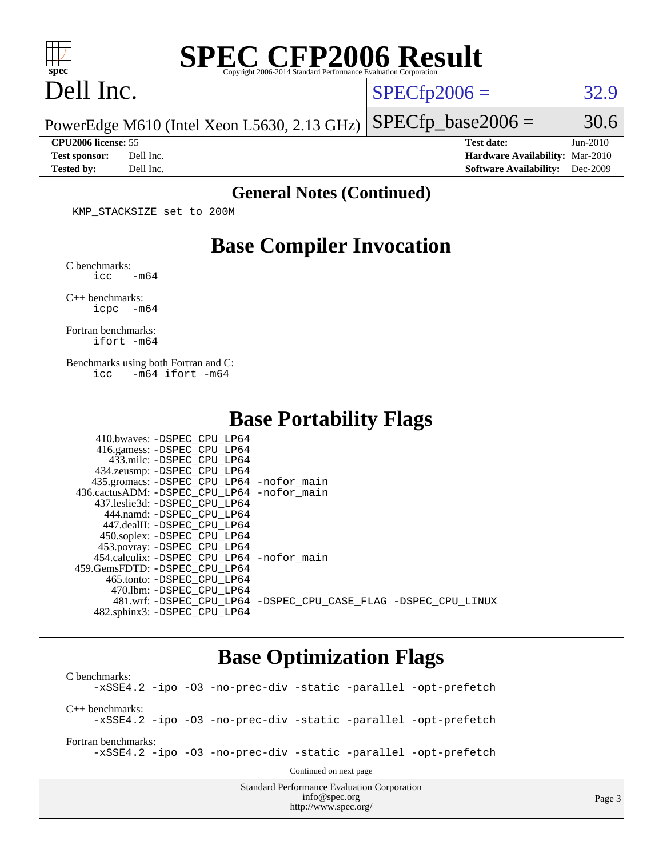

# **[SPEC CFP2006 Result](http://www.spec.org/auto/cpu2006/Docs/result-fields.html#SPECCFP2006Result)**

# Dell Inc.

 $SPECTp2006 = 32.9$ 

Page 3

PowerEdge M610 (Intel Xeon L5630, 2.13 GHz)  $SPECTp\_base2006 = 30.6$ 

**[Tested by:](http://www.spec.org/auto/cpu2006/Docs/result-fields.html#Testedby)** Dell Inc. **[Software Availability:](http://www.spec.org/auto/cpu2006/Docs/result-fields.html#SoftwareAvailability)** Dec-2009

**[CPU2006 license:](http://www.spec.org/auto/cpu2006/Docs/result-fields.html#CPU2006license)** 55 **[Test date:](http://www.spec.org/auto/cpu2006/Docs/result-fields.html#Testdate)** Jun-2010 **[Test sponsor:](http://www.spec.org/auto/cpu2006/Docs/result-fields.html#Testsponsor)** Dell Inc. **[Hardware Availability:](http://www.spec.org/auto/cpu2006/Docs/result-fields.html#HardwareAvailability)** Mar-2010

#### **[General Notes \(Continued\)](http://www.spec.org/auto/cpu2006/Docs/result-fields.html#GeneralNotes)**

KMP\_STACKSIZE set to 200M

### **[Base Compiler Invocation](http://www.spec.org/auto/cpu2006/Docs/result-fields.html#BaseCompilerInvocation)**

[C benchmarks](http://www.spec.org/auto/cpu2006/Docs/result-fields.html#Cbenchmarks):  $\text{icc}$   $-\text{m64}$ 

[C++ benchmarks:](http://www.spec.org/auto/cpu2006/Docs/result-fields.html#CXXbenchmarks) [icpc -m64](http://www.spec.org/cpu2006/results/res2010q3/cpu2006-20100719-12603.flags.html#user_CXXbase_intel_icpc_64bit_bedb90c1146cab66620883ef4f41a67e)

[Fortran benchmarks](http://www.spec.org/auto/cpu2006/Docs/result-fields.html#Fortranbenchmarks): [ifort -m64](http://www.spec.org/cpu2006/results/res2010q3/cpu2006-20100719-12603.flags.html#user_FCbase_intel_ifort_64bit_ee9d0fb25645d0210d97eb0527dcc06e)

[Benchmarks using both Fortran and C](http://www.spec.org/auto/cpu2006/Docs/result-fields.html#BenchmarksusingbothFortranandC): [icc -m64](http://www.spec.org/cpu2006/results/res2010q3/cpu2006-20100719-12603.flags.html#user_CC_FCbase_intel_icc_64bit_0b7121f5ab7cfabee23d88897260401c) [ifort -m64](http://www.spec.org/cpu2006/results/res2010q3/cpu2006-20100719-12603.flags.html#user_CC_FCbase_intel_ifort_64bit_ee9d0fb25645d0210d97eb0527dcc06e)

### **[Base Portability Flags](http://www.spec.org/auto/cpu2006/Docs/result-fields.html#BasePortabilityFlags)**

| 410.bwaves: -DSPEC CPU LP64                |                                                                |
|--------------------------------------------|----------------------------------------------------------------|
| 416.gamess: -DSPEC_CPU_LP64                |                                                                |
| 433.milc: -DSPEC CPU LP64                  |                                                                |
| 434.zeusmp: -DSPEC_CPU_LP64                |                                                                |
| 435.gromacs: -DSPEC_CPU_LP64 -nofor_main   |                                                                |
| 436.cactusADM: -DSPEC CPU LP64 -nofor main |                                                                |
| 437.leslie3d: -DSPEC CPU LP64              |                                                                |
| 444.namd: -DSPEC CPU LP64                  |                                                                |
| 447.dealII: -DSPEC CPU LP64                |                                                                |
| 450.soplex: -DSPEC_CPU_LP64                |                                                                |
| 453.povray: -DSPEC_CPU_LP64                |                                                                |
| 454.calculix: -DSPEC CPU LP64 -nofor main  |                                                                |
| 459. GemsFDTD: - DSPEC CPU LP64            |                                                                |
| 465.tonto: -DSPEC CPU LP64                 |                                                                |
| 470.1bm: - DSPEC CPU LP64                  |                                                                |
|                                            | 481.wrf: -DSPEC CPU_LP64 -DSPEC_CPU_CASE_FLAG -DSPEC_CPU_LINUX |
| 482.sphinx3: -DSPEC CPU LP64               |                                                                |

### **[Base Optimization Flags](http://www.spec.org/auto/cpu2006/Docs/result-fields.html#BaseOptimizationFlags)**

[info@spec.org](mailto:info@spec.org) <http://www.spec.org/>

Standard Performance Evaluation Corporation [C benchmarks](http://www.spec.org/auto/cpu2006/Docs/result-fields.html#Cbenchmarks): [-xSSE4.2](http://www.spec.org/cpu2006/results/res2010q3/cpu2006-20100719-12603.flags.html#user_CCbase_f-xSSE42_f91528193cf0b216347adb8b939d4107) [-ipo](http://www.spec.org/cpu2006/results/res2010q3/cpu2006-20100719-12603.flags.html#user_CCbase_f-ipo) [-O3](http://www.spec.org/cpu2006/results/res2010q3/cpu2006-20100719-12603.flags.html#user_CCbase_f-O3) [-no-prec-div](http://www.spec.org/cpu2006/results/res2010q3/cpu2006-20100719-12603.flags.html#user_CCbase_f-no-prec-div) [-static](http://www.spec.org/cpu2006/results/res2010q3/cpu2006-20100719-12603.flags.html#user_CCbase_f-static) [-parallel](http://www.spec.org/cpu2006/results/res2010q3/cpu2006-20100719-12603.flags.html#user_CCbase_f-parallel) [-opt-prefetch](http://www.spec.org/cpu2006/results/res2010q3/cpu2006-20100719-12603.flags.html#user_CCbase_f-opt-prefetch) [C++ benchmarks:](http://www.spec.org/auto/cpu2006/Docs/result-fields.html#CXXbenchmarks) [-xSSE4.2](http://www.spec.org/cpu2006/results/res2010q3/cpu2006-20100719-12603.flags.html#user_CXXbase_f-xSSE42_f91528193cf0b216347adb8b939d4107) [-ipo](http://www.spec.org/cpu2006/results/res2010q3/cpu2006-20100719-12603.flags.html#user_CXXbase_f-ipo) [-O3](http://www.spec.org/cpu2006/results/res2010q3/cpu2006-20100719-12603.flags.html#user_CXXbase_f-O3) [-no-prec-div](http://www.spec.org/cpu2006/results/res2010q3/cpu2006-20100719-12603.flags.html#user_CXXbase_f-no-prec-div) [-static](http://www.spec.org/cpu2006/results/res2010q3/cpu2006-20100719-12603.flags.html#user_CXXbase_f-static) [-parallel](http://www.spec.org/cpu2006/results/res2010q3/cpu2006-20100719-12603.flags.html#user_CXXbase_f-parallel) [-opt-prefetch](http://www.spec.org/cpu2006/results/res2010q3/cpu2006-20100719-12603.flags.html#user_CXXbase_f-opt-prefetch) [Fortran benchmarks](http://www.spec.org/auto/cpu2006/Docs/result-fields.html#Fortranbenchmarks): [-xSSE4.2](http://www.spec.org/cpu2006/results/res2010q3/cpu2006-20100719-12603.flags.html#user_FCbase_f-xSSE42_f91528193cf0b216347adb8b939d4107) [-ipo](http://www.spec.org/cpu2006/results/res2010q3/cpu2006-20100719-12603.flags.html#user_FCbase_f-ipo) [-O3](http://www.spec.org/cpu2006/results/res2010q3/cpu2006-20100719-12603.flags.html#user_FCbase_f-O3) [-no-prec-div](http://www.spec.org/cpu2006/results/res2010q3/cpu2006-20100719-12603.flags.html#user_FCbase_f-no-prec-div) [-static](http://www.spec.org/cpu2006/results/res2010q3/cpu2006-20100719-12603.flags.html#user_FCbase_f-static) [-parallel](http://www.spec.org/cpu2006/results/res2010q3/cpu2006-20100719-12603.flags.html#user_FCbase_f-parallel) [-opt-prefetch](http://www.spec.org/cpu2006/results/res2010q3/cpu2006-20100719-12603.flags.html#user_FCbase_f-opt-prefetch) Continued on next page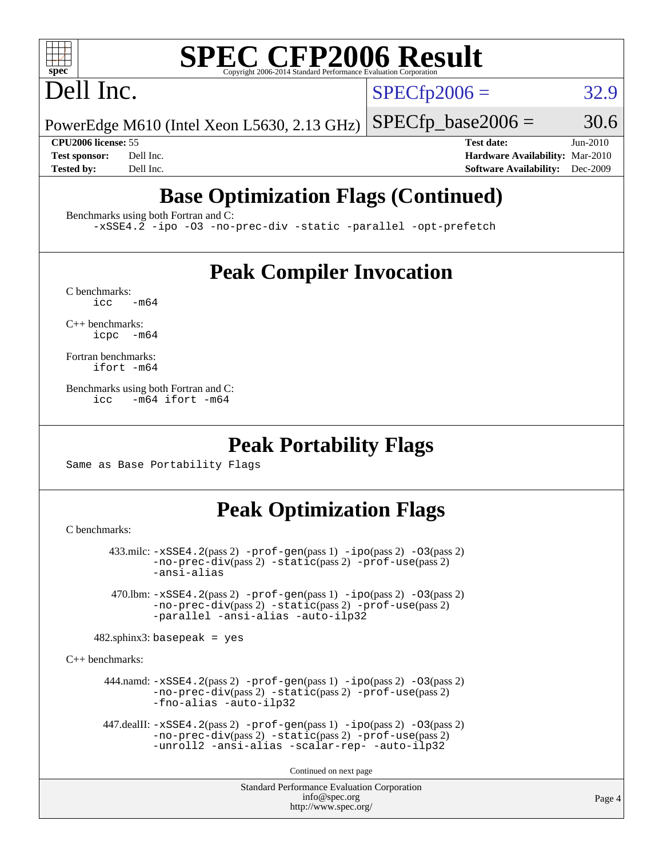# **[SPEC CFP2006 Result](http://www.spec.org/auto/cpu2006/Docs/result-fields.html#SPECCFP2006Result)**

# Dell Inc.

 $SPECTp2006 = 32.9$ 

PowerEdge M610 (Intel Xeon L5630, 2.13 GHz)  $SPECTp\_base2006 = 30.6$ 

**[CPU2006 license:](http://www.spec.org/auto/cpu2006/Docs/result-fields.html#CPU2006license)** 55 **[Test date:](http://www.spec.org/auto/cpu2006/Docs/result-fields.html#Testdate)** Jun-2010 **[Test sponsor:](http://www.spec.org/auto/cpu2006/Docs/result-fields.html#Testsponsor)** Dell Inc. **[Hardware Availability:](http://www.spec.org/auto/cpu2006/Docs/result-fields.html#HardwareAvailability)** Mar-2010 **[Tested by:](http://www.spec.org/auto/cpu2006/Docs/result-fields.html#Testedby)** Dell Inc. **[Software Availability:](http://www.spec.org/auto/cpu2006/Docs/result-fields.html#SoftwareAvailability)** Dec-2009

# **[Base Optimization Flags \(Continued\)](http://www.spec.org/auto/cpu2006/Docs/result-fields.html#BaseOptimizationFlags)**

[Benchmarks using both Fortran and C](http://www.spec.org/auto/cpu2006/Docs/result-fields.html#BenchmarksusingbothFortranandC):

[-xSSE4.2](http://www.spec.org/cpu2006/results/res2010q3/cpu2006-20100719-12603.flags.html#user_CC_FCbase_f-xSSE42_f91528193cf0b216347adb8b939d4107) [-ipo](http://www.spec.org/cpu2006/results/res2010q3/cpu2006-20100719-12603.flags.html#user_CC_FCbase_f-ipo) [-O3](http://www.spec.org/cpu2006/results/res2010q3/cpu2006-20100719-12603.flags.html#user_CC_FCbase_f-O3) [-no-prec-div](http://www.spec.org/cpu2006/results/res2010q3/cpu2006-20100719-12603.flags.html#user_CC_FCbase_f-no-prec-div) [-static](http://www.spec.org/cpu2006/results/res2010q3/cpu2006-20100719-12603.flags.html#user_CC_FCbase_f-static) [-parallel](http://www.spec.org/cpu2006/results/res2010q3/cpu2006-20100719-12603.flags.html#user_CC_FCbase_f-parallel) [-opt-prefetch](http://www.spec.org/cpu2006/results/res2010q3/cpu2006-20100719-12603.flags.html#user_CC_FCbase_f-opt-prefetch)

## **[Peak Compiler Invocation](http://www.spec.org/auto/cpu2006/Docs/result-fields.html#PeakCompilerInvocation)**

 $C$  benchmarks:<br>icc  $-m64$ 

[C++ benchmarks:](http://www.spec.org/auto/cpu2006/Docs/result-fields.html#CXXbenchmarks) [icpc -m64](http://www.spec.org/cpu2006/results/res2010q3/cpu2006-20100719-12603.flags.html#user_CXXpeak_intel_icpc_64bit_bedb90c1146cab66620883ef4f41a67e)

[Fortran benchmarks](http://www.spec.org/auto/cpu2006/Docs/result-fields.html#Fortranbenchmarks): [ifort -m64](http://www.spec.org/cpu2006/results/res2010q3/cpu2006-20100719-12603.flags.html#user_FCpeak_intel_ifort_64bit_ee9d0fb25645d0210d97eb0527dcc06e)

[Benchmarks using both Fortran and C](http://www.spec.org/auto/cpu2006/Docs/result-fields.html#BenchmarksusingbothFortranandC): [icc -m64](http://www.spec.org/cpu2006/results/res2010q3/cpu2006-20100719-12603.flags.html#user_CC_FCpeak_intel_icc_64bit_0b7121f5ab7cfabee23d88897260401c) [ifort -m64](http://www.spec.org/cpu2006/results/res2010q3/cpu2006-20100719-12603.flags.html#user_CC_FCpeak_intel_ifort_64bit_ee9d0fb25645d0210d97eb0527dcc06e)

### **[Peak Portability Flags](http://www.spec.org/auto/cpu2006/Docs/result-fields.html#PeakPortabilityFlags)**

Same as Base Portability Flags

## **[Peak Optimization Flags](http://www.spec.org/auto/cpu2006/Docs/result-fields.html#PeakOptimizationFlags)**

[C benchmarks](http://www.spec.org/auto/cpu2006/Docs/result-fields.html#Cbenchmarks):

```
 433.milc: -xSSE4.2(pass 2) -prof-gen(pass 1) -ipo(pass 2) -O3(pass 2)
-no-prec-div(pass 2) -static(pass 2) -prof-use(pass 2)
-ansi-alias
```
 470.lbm: [-xSSE4.2](http://www.spec.org/cpu2006/results/res2010q3/cpu2006-20100719-12603.flags.html#user_peakPASS2_CFLAGSPASS2_LDFLAGS470_lbm_f-xSSE42_f91528193cf0b216347adb8b939d4107)(pass 2) [-prof-gen](http://www.spec.org/cpu2006/results/res2010q3/cpu2006-20100719-12603.flags.html#user_peakPASS1_CFLAGSPASS1_LDFLAGS470_lbm_prof_gen_e43856698f6ca7b7e442dfd80e94a8fc)(pass 1) [-ipo](http://www.spec.org/cpu2006/results/res2010q3/cpu2006-20100719-12603.flags.html#user_peakPASS2_CFLAGSPASS2_LDFLAGS470_lbm_f-ipo)(pass 2) [-O3](http://www.spec.org/cpu2006/results/res2010q3/cpu2006-20100719-12603.flags.html#user_peakPASS2_CFLAGSPASS2_LDFLAGS470_lbm_f-O3)(pass 2) [-no-prec-div](http://www.spec.org/cpu2006/results/res2010q3/cpu2006-20100719-12603.flags.html#user_peakPASS2_CFLAGSPASS2_LDFLAGS470_lbm_f-no-prec-div)(pass 2) [-static](http://www.spec.org/cpu2006/results/res2010q3/cpu2006-20100719-12603.flags.html#user_peakPASS2_CFLAGSPASS2_LDFLAGS470_lbm_f-static)(pass 2) [-prof-use](http://www.spec.org/cpu2006/results/res2010q3/cpu2006-20100719-12603.flags.html#user_peakPASS2_CFLAGSPASS2_LDFLAGS470_lbm_prof_use_bccf7792157ff70d64e32fe3e1250b55)(pass 2) [-parallel](http://www.spec.org/cpu2006/results/res2010q3/cpu2006-20100719-12603.flags.html#user_peakOPTIMIZE470_lbm_f-parallel) [-ansi-alias](http://www.spec.org/cpu2006/results/res2010q3/cpu2006-20100719-12603.flags.html#user_peakOPTIMIZE470_lbm_f-ansi-alias) [-auto-ilp32](http://www.spec.org/cpu2006/results/res2010q3/cpu2006-20100719-12603.flags.html#user_peakCOPTIMIZE470_lbm_f-auto-ilp32)

 $482$ .sphinx3: basepeak = yes

[C++ benchmarks:](http://www.spec.org/auto/cpu2006/Docs/result-fields.html#CXXbenchmarks)

444.namd:  $-xSSE4$ . 2(pass 2)  $-prof-gen(pass 1) -ipo(pass 2) -O3(pass 2)$  $-prof-gen(pass 1) -ipo(pass 2) -O3(pass 2)$  $-prof-gen(pass 1) -ipo(pass 2) -O3(pass 2)$  $-prof-gen(pass 1) -ipo(pass 2) -O3(pass 2)$  $-prof-gen(pass 1) -ipo(pass 2) -O3(pass 2)$  $-prof-gen(pass 1) -ipo(pass 2) -O3(pass 2)$ [-no-prec-div](http://www.spec.org/cpu2006/results/res2010q3/cpu2006-20100719-12603.flags.html#user_peakPASS2_CXXFLAGSPASS2_LDFLAGS444_namd_f-no-prec-div)(pass 2) [-static](http://www.spec.org/cpu2006/results/res2010q3/cpu2006-20100719-12603.flags.html#user_peakPASS2_CXXFLAGSPASS2_LDFLAGS444_namd_f-static)(pass 2) [-prof-use](http://www.spec.org/cpu2006/results/res2010q3/cpu2006-20100719-12603.flags.html#user_peakPASS2_CXXFLAGSPASS2_LDFLAGS444_namd_prof_use_bccf7792157ff70d64e32fe3e1250b55)(pass 2) [-fno-alias](http://www.spec.org/cpu2006/results/res2010q3/cpu2006-20100719-12603.flags.html#user_peakOPTIMIZE444_namd_f-no-alias_694e77f6c5a51e658e82ccff53a9e63a) [-auto-ilp32](http://www.spec.org/cpu2006/results/res2010q3/cpu2006-20100719-12603.flags.html#user_peakCXXOPTIMIZE444_namd_f-auto-ilp32)

```
 447.dealII: -xSSE4.2(pass 2) -prof-gen(pass 1) -ipo(pass 2) -O3(pass 2)
 -no-prec-div(pass 2) -static(pass 2) -prof-use(pass 2)
-unroll2 -ansi-alias -scalar-rep- -auto-ilp32
```
Continued on next page

Standard Performance Evaluation Corporation [info@spec.org](mailto:info@spec.org) <http://www.spec.org/>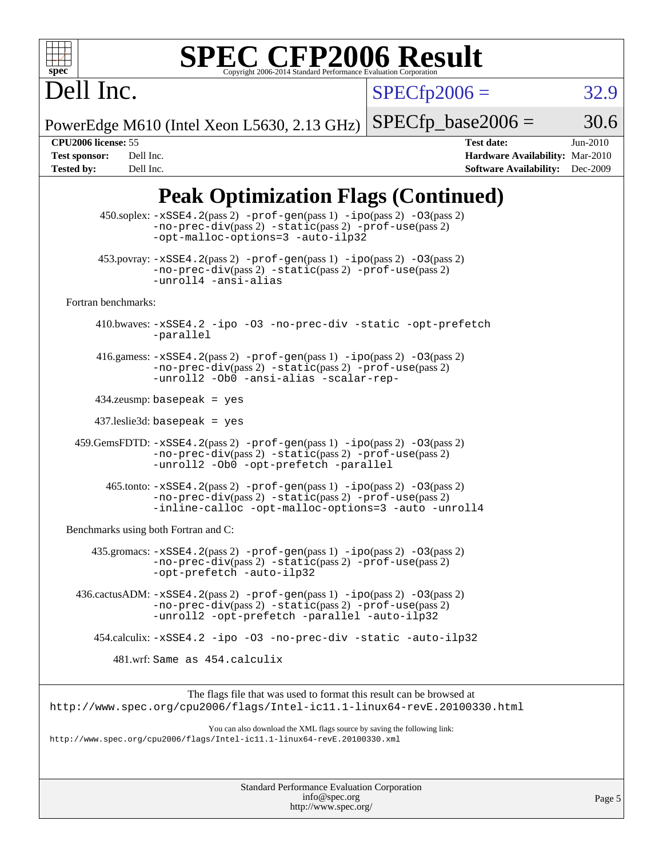

# **[SPEC CFP2006 Result](http://www.spec.org/auto/cpu2006/Docs/result-fields.html#SPECCFP2006Result)**

 $SPECfp2006 = 32.9$  $SPECfp2006 = 32.9$ 

PowerEdge M610 (Intel Xeon L5630, 2.13 GHz)  $SPECTp\_base2006 = 30.6$ 

Dell Inc.

**[CPU2006 license:](http://www.spec.org/auto/cpu2006/Docs/result-fields.html#CPU2006license)** 55 **[Test date:](http://www.spec.org/auto/cpu2006/Docs/result-fields.html#Testdate)** Jun-2010 **[Test sponsor:](http://www.spec.org/auto/cpu2006/Docs/result-fields.html#Testsponsor)** Dell Inc. **[Hardware Availability:](http://www.spec.org/auto/cpu2006/Docs/result-fields.html#HardwareAvailability)** Mar-2010 **[Tested by:](http://www.spec.org/auto/cpu2006/Docs/result-fields.html#Testedby)** Dell Inc. **[Software Availability:](http://www.spec.org/auto/cpu2006/Docs/result-fields.html#SoftwareAvailability)** Dec-2009

## **[Peak Optimization Flags \(Continued\)](http://www.spec.org/auto/cpu2006/Docs/result-fields.html#PeakOptimizationFlags)**

|                                      | $450$ .soplex: $-xSSE4$ . $2(pass 2)$ -prof-gen(pass 1) -ipo(pass 2) -03(pass 2)<br>-no-prec-div(pass 2) -static(pass 2) -prof-use(pass 2)<br>-opt-malloc-options=3 -auto-ilp32                  |
|--------------------------------------|--------------------------------------------------------------------------------------------------------------------------------------------------------------------------------------------------|
|                                      | $453.$ povray: $-xSSE4.2(pass2)$ -prof-gen $(pass1)$ -ipo $(pass2)$ -03 $(pass2)$<br>-no-prec-div(pass 2) -static(pass 2) -prof-use(pass 2)<br>-unroll4 -ansi-alias                              |
| Fortran benchmarks:                  |                                                                                                                                                                                                  |
|                                      | 410.bwaves: -xSSE4.2 -ipo -03 -no-prec-div -static -opt-prefetch<br>-parallel                                                                                                                    |
|                                      | 416.gamess: $-xSSE4$ . 2(pass 2) $-prof-gen(pass 1) -ipo(pass 2) -03(pass 2)$<br>-no-prec-div(pass 2) -static(pass 2) -prof-use(pass 2)<br>-unroll2 -Ob0 -ansi-alias -scalar-rep-                |
|                                      | $434$ .zeusmp: basepeak = yes                                                                                                                                                                    |
|                                      | $437$ .leslie3d: basepeak = yes                                                                                                                                                                  |
|                                      | $459.GemsFDTD: -xSSE4.2(pass 2) -prof-gen(pass 1) -ipo(pass 2) -03(pass 2)$<br>-no-prec-div(pass 2) -static(pass 2) -prof-use(pass 2)<br>-unroll2 -0b0 -opt-prefetch -parallel                   |
|                                      | $465$ .tonto: $-xSSE4$ . 2(pass 2) $-prof-gen(pass 1) -ipo(pass 2) -03(pass 2)$<br>-no-prec-div(pass 2) -static(pass 2) -prof-use(pass 2)<br>-inline-calloc -opt-malloc-options=3 -auto -unroll4 |
| Benchmarks using both Fortran and C: |                                                                                                                                                                                                  |
|                                      | $435$ .gromacs: $-xSSE4$ . 2(pass 2) $-prof-gen(pass 1) -ipo(pass 2) -03(pass 2)$<br>-no-prec-div(pass 2) -static(pass 2) -prof-use(pass 2)<br>-opt-prefetch -auto-ilp32                         |
|                                      | 436.cactusADM: -xSSE4.2(pass 2) -prof-gen(pass 1) -ipo(pass 2) -03(pass 2)<br>$-no-prec-div(pass 2) -static(pass 2) -prof-use(pass 2)$<br>-unroll2 -opt-prefetch -parallel -auto-ilp32           |
|                                      | 454.calculix: -xSSE4.2 -ipo -03 -no-prec-div -static -auto-ilp32                                                                                                                                 |
|                                      | 481.wrf: Same as 454.calculix                                                                                                                                                                    |
|                                      | The flags file that was used to format this result can be browsed at                                                                                                                             |
|                                      | http://www.spec.org/cpu2006/flags/Intel-icll.1-linux64-revE.20100330.html                                                                                                                        |
|                                      | You can also download the XML flags source by saving the following link:<br>http://www.spec.org/cpu2006/flags/Intel-ic11.1-linux64-revE.20100330.xml                                             |
|                                      |                                                                                                                                                                                                  |
|                                      |                                                                                                                                                                                                  |